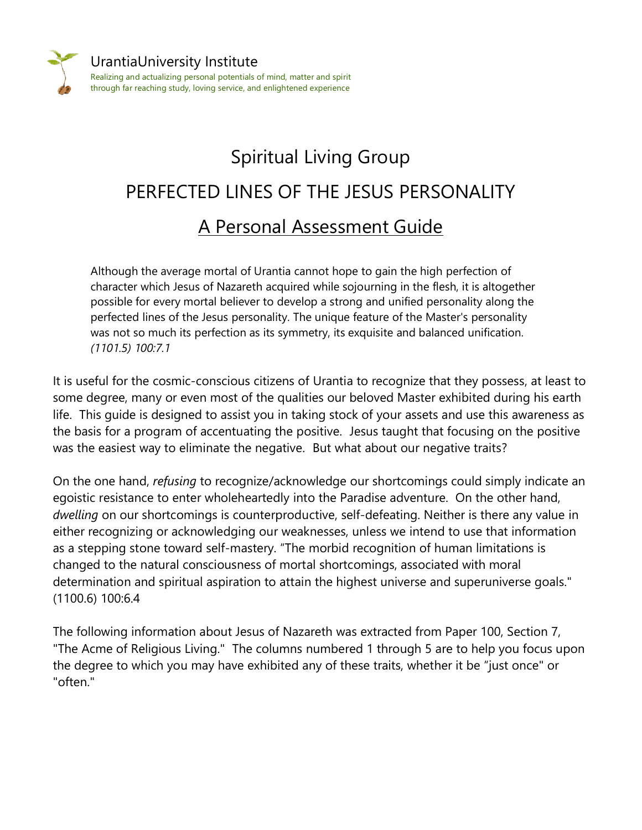

## Spiritual Living Group PERFECTED LINES OF THE JESUS PERSONALITY A Personal Assessment Guide

Although the average mortal of Urantia cannot hope to gain the high perfection of character which Jesus of Nazareth acquired while sojourning in the flesh, it is altogether possible for every mortal believer to develop a strong and unified personality along the perfected lines of the Jesus personality. The unique feature of the Master's personality was not so much its perfection as its symmetry, its exquisite and balanced unification. *(1101.5) 100:7.1*

It is useful for the cosmic-conscious citizens of Urantia to recognize that they possess, at least to some degree, many or even most of the qualities our beloved Master exhibited during his earth life. This guide is designed to assist you in taking stock of your assets and use this awareness as the basis for a program of accentuating the positive. Jesus taught that focusing on the positive was the easiest way to eliminate the negative. But what about our negative traits?

On the one hand, *refusing* to recognize/acknowledge our shortcomings could simply indicate an egoistic resistance to enter wholeheartedly into the Paradise adventure. On the other hand, *dwelling* on our shortcomings is counterproductive, self-defeating. Neither is there any value in either recognizing or acknowledging our weaknesses, unless we intend to use that information as a stepping stone toward self-mastery. "The morbid recognition of human limitations is changed to the natural consciousness of mortal shortcomings, associated with moral determination and spiritual aspiration to attain the highest universe and superuniverse goals." (1100.6) 100:6.4

The following information about Jesus of Nazareth was extracted from Paper 100, Section 7, "The Acme of Religious Living." The columns numbered 1 through 5 are to help you focus upon the degree to which you may have exhibited any of these traits, whether it be "just once" or "often."